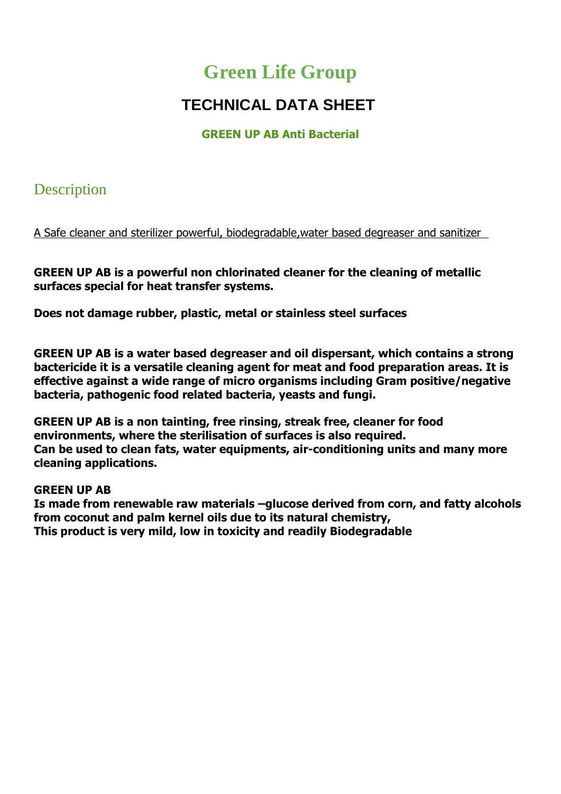# **Green Life Group**

# **TECHNICAL DATA SHEET**

#### **GREEN UP AB Anti Bacterial**

### **Description**

A Safe cleaner and sterilizer powerful, biodegradable,water based degreaser and sanitizer

**GREEN UP AB is a powerful non chlorinated cleaner for the cleaning of metallic surfaces special for heat transfer systems.**

**Does not damage rubber, plastic, metal or stainless steel surfaces**

**GREEN UP AB is a water based degreaser and oil dispersant, which contains a strong bactericide it is a versatile cleaning agent for meat and food preparation areas. It is effective against a wide range of micro organisms including Gram positive/negative bacteria, pathogenic food related bacteria, yeasts and fungi.**

**GREEN UP AB is a non tainting, free rinsing, streak free, cleaner for food environments, where the sterilisation of surfaces is also required. Can be used to clean fats, water equipments, air-conditioning units and many more cleaning applications.**

#### **GREEN UP AB**

**Is made from renewable raw materials –glucose derived from corn, and fatty alcohols from coconut and palm kernel oils due to its natural chemistry, This product is very mild, low in toxicity and readily Biodegradable**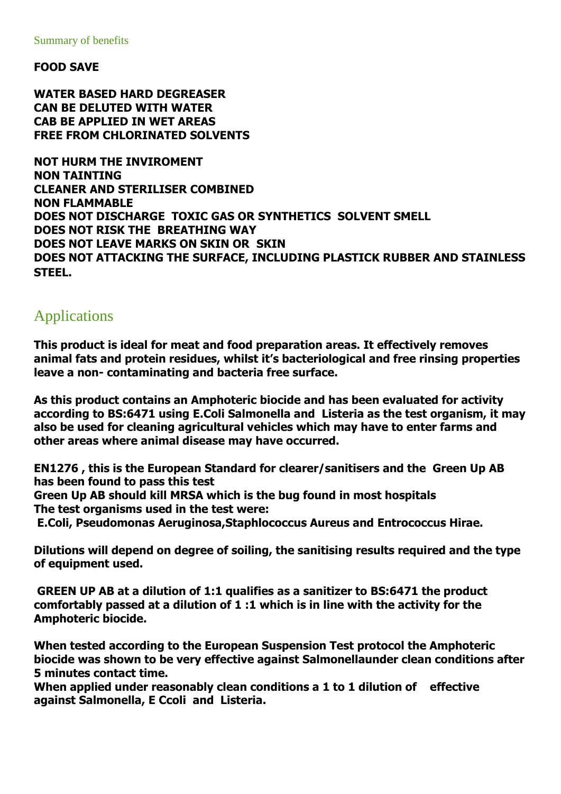**FOOD SAVE** 

**WATER BASED HARD DEGREASER CAN BE DELUTED WITH WATER CAB BE APPLIED IN WET AREAS FREE FROM CHLORINATED SOLVENTS** 

**NOT HURM THE INVIROMENT NON TAINTING CLEANER AND STERILISER COMBINED NON FLAMMABLE DOES NOT DISCHARGE TOXIC GAS OR SYNTHETICS SOLVENT SMELL DOES NOT RISK THE BREATHING WAY DOES NOT LEAVE MARKS ON SKIN OR SKIN DOES NOT ATTACKING THE SURFACE, INCLUDING PLASTICK RUBBER AND STAINLESS STEEL.** 

### Applications

**This product is ideal for meat and food preparation areas. It effectively removes animal fats and protein residues, whilst it's bacteriological and free rinsing properties leave a non- contaminating and bacteria free surface.**

**As this product contains an Amphoteric biocide and has been evaluated for activity according to BS:6471 using E.Coli Salmonella and Listeria as the test organism, it may also be used for cleaning agricultural vehicles which may have to enter farms and other areas where animal disease may have occurred.**

**EN1276 , this is the European Standard for clearer/sanitisers and the Green Up AB has been found to pass this test**

**Green Up AB should kill MRSA which is the bug found in most hospitals The test organisms used in the test were:**

**E.Coli, Pseudomonas Aeruginosa,Staphlococcus Aureus and Entrococcus Hirae.**

**Dilutions will depend on degree of soiling, the sanitising results required and the type of equipment used.**

**GREEN UP AB at a dilution of 1:1 qualifies as a sanitizer to BS:6471 the product comfortably passed at a dilution of 1 :1 which is in line with the activity for the Amphoteric biocide.**

**When tested according to the European Suspension Test protocol the Amphoteric biocide was shown to be very effective against Salmonellaunder clean conditions after 5 minutes contact time.**

**When applied under reasonably clean conditions a 1 to 1 dilution of effective against Salmonella, E Ccoli and Listeria.**